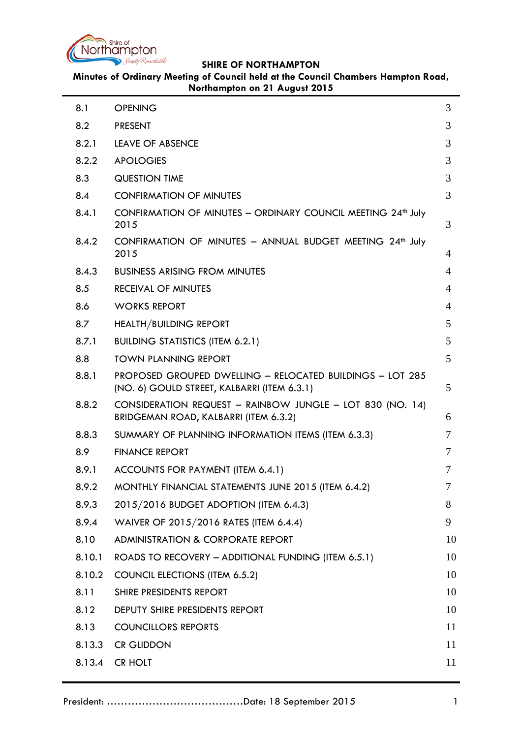

**Minutes of Ordinary Meeting of Council held at the Council Chambers Hampton Road, Northampton on 21 August 2015**

| 8.1    | <b>OPENING</b>                                                                                           | 3  |
|--------|----------------------------------------------------------------------------------------------------------|----|
| 8.2    | <b>PRESENT</b>                                                                                           | 3  |
| 8.2.1  | <b>LEAVE OF ABSENCE</b>                                                                                  | 3  |
| 8.2.2  | <b>APOLOGIES</b>                                                                                         | 3  |
| 8.3    | <b>QUESTION TIME</b>                                                                                     | 3  |
| 8.4    | <b>CONFIRMATION OF MINUTES</b>                                                                           | 3  |
| 8.4.1  | CONFIRMATION OF MINUTES - ORDINARY COUNCIL MEETING 24 <sup>th</sup> July<br>2015                         | 3  |
| 8.4.2  | CONFIRMATION OF MINUTES - ANNUAL BUDGET MEETING 24th July<br>2015                                        | 4  |
| 8.4.3  | <b>BUSINESS ARISING FROM MINUTES</b>                                                                     | 4  |
| 8.5    | <b>RECEIVAL OF MINUTES</b>                                                                               | 4  |
| 8.6    | <b>WORKS REPORT</b>                                                                                      | 4  |
| 8.7    | <b>HEALTH/BUILDING REPORT</b>                                                                            | 5  |
| 8.7.1  | <b>BUILDING STATISTICS (ITEM 6.2.1)</b>                                                                  | 5  |
| 8.8    | <b>TOWN PLANNING REPORT</b>                                                                              | 5  |
| 8.8.1  | PROPOSED GROUPED DWELLING - RELOCATED BUILDINGS - LOT 285<br>(NO. 6) GOULD STREET, KALBARRI (ITEM 6.3.1) | 5  |
| 8.8.2  | CONSIDERATION REQUEST - RAINBOW JUNGLE - LOT 830 (NO. 14)<br>BRIDGEMAN ROAD, KALBARRI (ITEM 6.3.2)       | 6  |
| 8.8.3  | SUMMARY OF PLANNING INFORMATION ITEMS (ITEM 6.3.3)                                                       | 7  |
| 8.9    | <b>FINANCE REPORT</b>                                                                                    | 7  |
| 8.9.1  | ACCOUNTS FOR PAYMENT (ITEM 6.4.1)                                                                        | 7  |
| 8.9.2  | MONTHLY FINANCIAL STATEMENTS JUNE 2015 (ITEM 6.4.2)                                                      |    |
| 8.9.3  | 2015/2016 BUDGET ADOPTION (ITEM 6.4.3)                                                                   | 8  |
| 8.9.4  | WAIVER OF 2015/2016 RATES (ITEM 6.4.4)                                                                   | 9  |
| 8.10   | <b>ADMINISTRATION &amp; CORPORATE REPORT</b>                                                             | 10 |
| 8.10.1 | ROADS TO RECOVERY - ADDITIONAL FUNDING (ITEM 6.5.1)                                                      | 10 |
| 8.10.2 | <b>COUNCIL ELECTIONS (ITEM 6.5.2)</b>                                                                    | 10 |
| 8.11   | SHIRE PRESIDENTS REPORT                                                                                  | 10 |
| 8.12   | DEPUTY SHIRE PRESIDENTS REPORT                                                                           | 10 |
| 8.13   | <b>COUNCILLORS REPORTS</b>                                                                               | 11 |
| 8.13.3 | <b>CR GLIDDON</b>                                                                                        | 11 |
| 8.13.4 | CR HOLT                                                                                                  | 11 |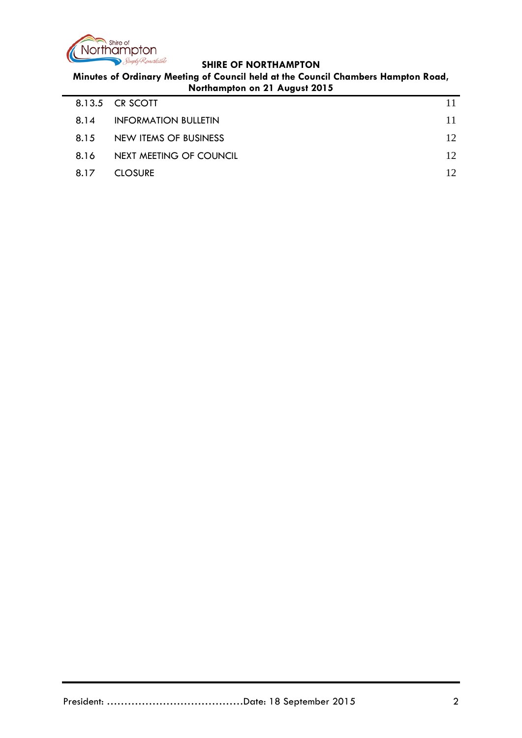

**Minutes of Ordinary Meeting of Council held at the Council Chambers Hampton Road, Northampton on 21 August 2015**

|      | 8.13.5 CR SCOTT             |     |
|------|-----------------------------|-----|
| 8.14 | <b>INFORMATION BULLETIN</b> |     |
| 8.15 | NEW ITEMS OF BUSINESS       | 12. |
| 8.16 | NEXT MEETING OF COUNCIL     | 12  |
| 8.17 | <b>CLOSURE</b>              | 12  |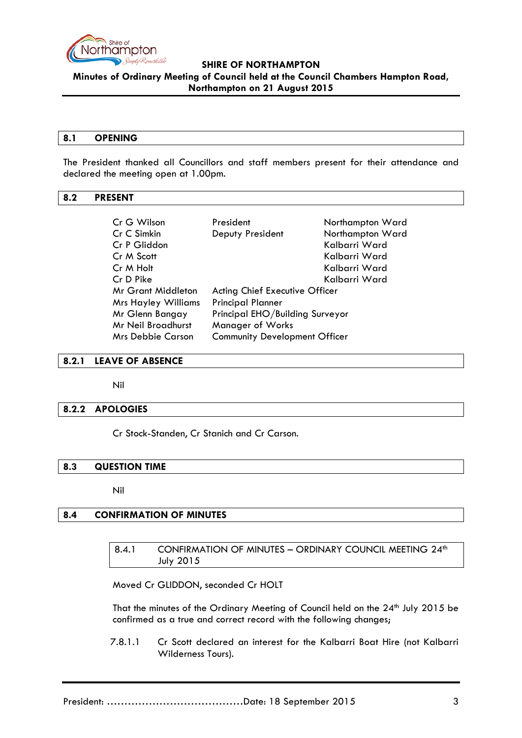

**Minutes of Ordinary Meeting of Council held at the Council Chambers Hampton Road,** 

# **Northampton on 21 August 2015**

#### <span id="page-2-0"></span>**8.1 OPENING**

The President thanked all Councillors and staff members present for their attendance and declared the meeting open at 1.00pm.

## <span id="page-2-1"></span>**8.2 PRESENT**

| Cr G Wilson                | President                            | Northampton Ward |
|----------------------------|--------------------------------------|------------------|
| Cr C Simkin                | Deputy President                     | Northampton Ward |
| Cr P Gliddon               |                                      | Kalbarri Ward    |
| Cr M Scott                 |                                      | Kalbarri Ward    |
| Cr M Holt                  |                                      | Kalbarri Ward    |
| Cr D Pike                  |                                      | Kalbarri Ward    |
| Mr Grant Middleton         | Acting Chief Executive Officer       |                  |
| <b>Mrs Hayley Williams</b> | <b>Principal Planner</b>             |                  |
| Mr Glenn Bangay            | Principal EHO/Building Surveyor      |                  |
| Mr Neil Broadhurst         | <b>Manager of Works</b>              |                  |
| <b>Mrs Debbie Carson</b>   | <b>Community Development Officer</b> |                  |

### <span id="page-2-2"></span>**8.2.1 LEAVE OF ABSENCE**

Nil

## <span id="page-2-3"></span>**8.2.2 APOLOGIES**

Cr Stock-Standen, Cr Stanich and Cr Carson.

#### <span id="page-2-4"></span>**8.3 QUESTION TIME**

Nil

# <span id="page-2-6"></span><span id="page-2-5"></span>**8.4 CONFIRMATION OF MINUTES**

8.4.1 CONFIRMATION OF MINUTES - ORDINARY COUNCIL MEETING 24<sup>th</sup> July 2015

Moved Cr GLIDDON, seconded Cr HOLT

That the minutes of the Ordinary Meeting of Council held on the 24<sup>th</sup> July 2015 be confirmed as a true and correct record with the following changes;

7.8.1.1 Cr Scott declared an interest for the Kalbarri Boat Hire (not Kalbarri Wilderness Tours).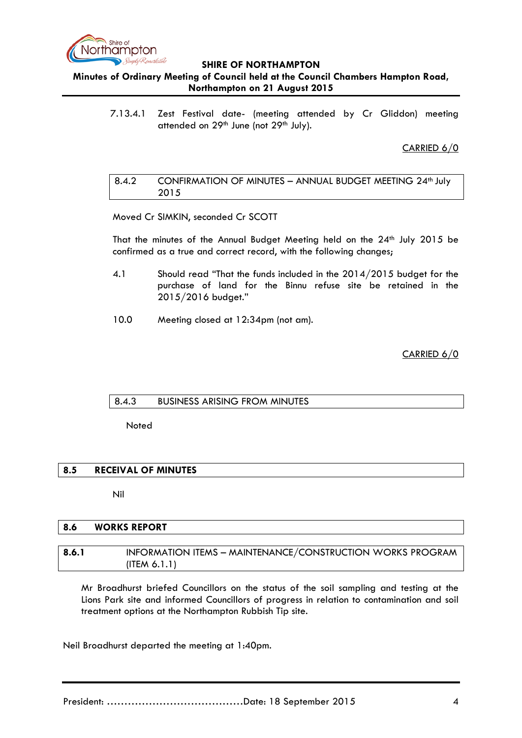

**Minutes of Ordinary Meeting of Council held at the Council Chambers Hampton Road, Northampton on 21 August 2015**

7.13.4.1 Zest Festival date- (meeting attended by Cr Gliddon) meeting attended on 29<sup>th</sup> June (not 29<sup>th</sup> July).

CARRIED 6/0

#### <span id="page-3-0"></span>8.4.2 CONFIRMATION OF MINUTES - ANNUAL BUDGET MEETING 24<sup>th</sup> July 2015

Moved Cr SIMKIN, seconded Cr SCOTT

That the minutes of the Annual Budget Meeting held on the 24<sup>th</sup> July 2015 be confirmed as a true and correct record, with the following changes;

- 4.1 Should read "That the funds included in the 2014/2015 budget for the purchase of land for the Binnu refuse site be retained in the 2015/2016 budget."
- 10.0 Meeting closed at 12:34pm (not am).

CARRIED 6/0

#### <span id="page-3-1"></span>8.4.3 BUSINESS ARISING FROM MINUTES

**Noted** 

## <span id="page-3-2"></span>**8.5 RECEIVAL OF MINUTES**

Nil

## <span id="page-3-3"></span>**8.6 WORKS REPORT**

#### **8.6.1** INFORMATION ITEMS – MAINTENANCE/CONSTRUCTION WORKS PROGRAM (ITEM 6.1.1)

Mr Broadhurst briefed Councillors on the status of the soil sampling and testing at the Lions Park site and informed Councillors of progress in relation to contamination and soil treatment options at the Northampton Rubbish Tip site.

Neil Broadhurst departed the meeting at 1:40pm.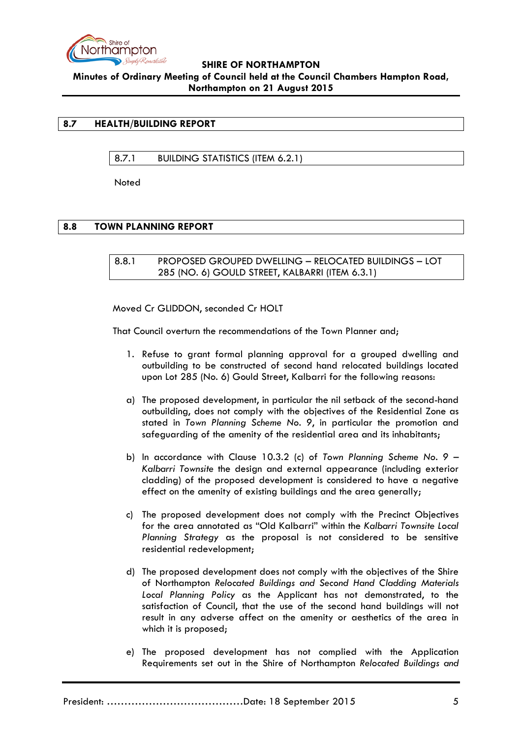

## <span id="page-4-1"></span><span id="page-4-0"></span>**8.7 HEALTH/BUILDING REPORT**

8.7.1 BUILDING STATISTICS (ITEM 6.2.1)

**Noted** 

### <span id="page-4-3"></span><span id="page-4-2"></span>**8.8 TOWN PLANNING REPORT**

8.8.1 PROPOSED GROUPED DWELLING – RELOCATED BUILDINGS – LOT 285 (NO. 6) GOULD STREET, KALBARRI (ITEM 6.3.1)

Moved Cr GLIDDON, seconded Cr HOLT

That Council overturn the recommendations of the Town Planner and;

- 1. Refuse to grant formal planning approval for a grouped dwelling and outbuilding to be constructed of second hand relocated buildings located upon Lot 285 (No. 6) Gould Street, Kalbarri for the following reasons:
- a) The proposed development, in particular the nil setback of the second-hand outbuilding, does not comply with the objectives of the Residential Zone as stated in *Town Planning Scheme No. 9*, in particular the promotion and safeguarding of the amenity of the residential area and its inhabitants;
- b) In accordance with Clause 10.3.2 (c) of *Town Planning Scheme No. 9 – Kalbarri Townsite* the design and external appearance (including exterior cladding) of the proposed development is considered to have a negative effect on the amenity of existing buildings and the area generally;
- c) The proposed development does not comply with the Precinct Objectives for the area annotated as "Old Kalbarri" within the *Kalbarri Townsite Local Planning Strategy* as the proposal is not considered to be sensitive residential redevelopment;
- d) The proposed development does not comply with the objectives of the Shire of Northampton *Relocated Buildings and Second Hand Cladding Materials Local Planning Policy* as the Applicant has not demonstrated, to the satisfaction of Council, that the use of the second hand buildings will not result in any adverse affect on the amenity or aesthetics of the area in which it is proposed;
- e) The proposed development has not complied with the Application Requirements set out in the Shire of Northampton *Relocated Buildings and*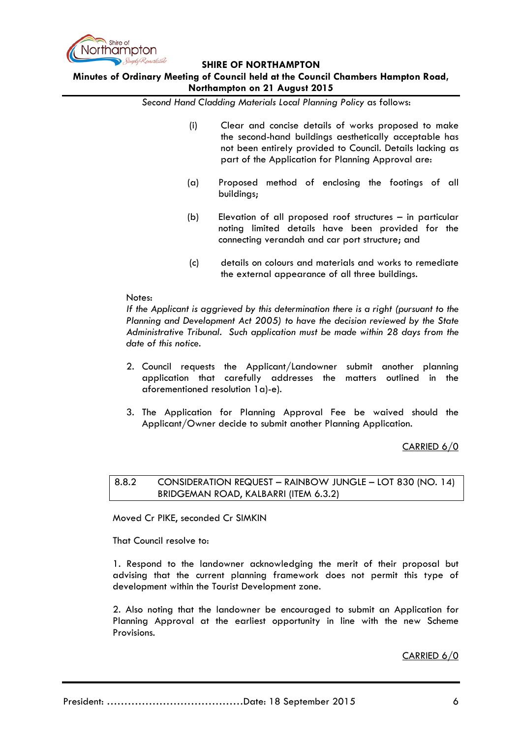

## **Minutes of Ordinary Meeting of Council held at the Council Chambers Hampton Road, Northampton on 21 August 2015**

*Second Hand Cladding Materials Local Planning Policy* as follows:

- (i) Clear and concise details of works proposed to make the second-hand buildings aesthetically acceptable has not been entirely provided to Council. Details lacking as part of the Application for Planning Approval are:
- (a) Proposed method of enclosing the footings of all buildings;
- (b) Elevation of all proposed roof structures in particular noting limited details have been provided for the connecting verandah and car port structure; and
- (c) details on colours and materials and works to remediate the external appearance of all three buildings.

#### Notes:

*If the Applicant is aggrieved by this determination there is a right (pursuant to the Planning and Development Act 2005) to have the decision reviewed by the State Administrative Tribunal. Such application must be made within 28 days from the date of this notice.* 

- 2. Council requests the Applicant/Landowner submit another planning application that carefully addresses the matters outlined in the aforementioned resolution 1a)-e).
- 3. The Application for Planning Approval Fee be waived should the Applicant/Owner decide to submit another Planning Application.

#### CARRIED 6/0

<span id="page-5-0"></span>8.8.2 CONSIDERATION REQUEST – RAINBOW JUNGLE – LOT 830 (NO. 14) BRIDGEMAN ROAD, KALBARRI (ITEM 6.3.2)

Moved Cr PIKE, seconded Cr SIMKIN

That Council resolve to:

1. Respond to the landowner acknowledging the merit of their proposal but advising that the current planning framework does not permit this type of development within the Tourist Development zone.

2. Also noting that the landowner be encouraged to submit an Application for Planning Approval at the earliest opportunity in line with the new Scheme Provisions.

#### CARRIED 6/0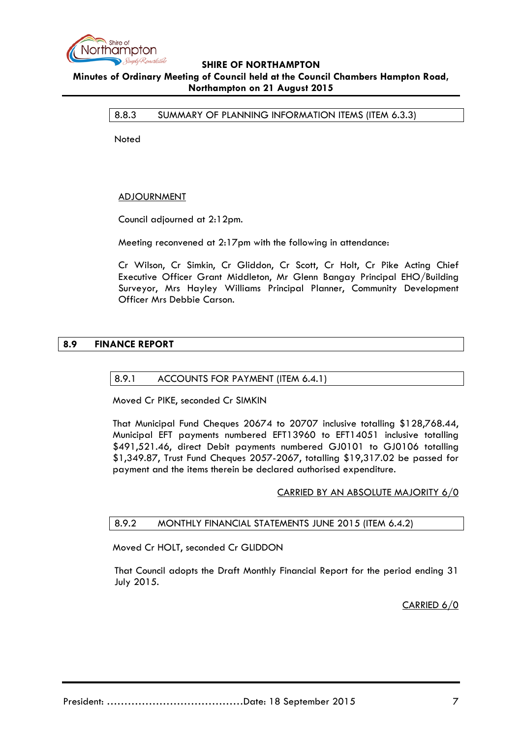

### <span id="page-6-0"></span>8.8.3 SUMMARY OF PLANNING INFORMATION ITEMS (ITEM 6.3.3)

**Noted** 

### **ADJOURNMENT**

Council adjourned at 2:12pm.

Meeting reconvened at 2:17pm with the following in attendance:

Cr Wilson, Cr Simkin, Cr Gliddon, Cr Scott, Cr Holt, Cr Pike Acting Chief Executive Officer Grant Middleton, Mr Glenn Bangay Principal EHO/Building Surveyor, Mrs Hayley Williams Principal Planner, Community Development Officer Mrs Debbie Carson.

### <span id="page-6-2"></span><span id="page-6-1"></span>**8.9 FINANCE REPORT**

#### 8.9.1 ACCOUNTS FOR PAYMENT (ITEM 6.4.1)

Moved Cr PIKE, seconded Cr SIMKIN

That Municipal Fund Cheques 20674 to 20707 inclusive totalling \$128,768.44, Municipal EFT payments numbered EFT13960 to EFT14051 inclusive totalling \$491,521.46, direct Debit payments numbered GJ0101 to GJ0106 totalling \$1,349.87, Trust Fund Cheques 2057-2067, totalling \$19,317.02 be passed for payment and the items therein be declared authorised expenditure.

#### CARRIED BY AN ABSOLUTE MAJORITY 6/0

#### <span id="page-6-3"></span>8.9.2 MONTHLY FINANCIAL STATEMENTS JUNE 2015 (ITEM 6.4.2)

Moved Cr HOLT, seconded Cr GLIDDON

That Council adopts the Draft Monthly Financial Report for the period ending 31 July 2015.

CARRIED 6/0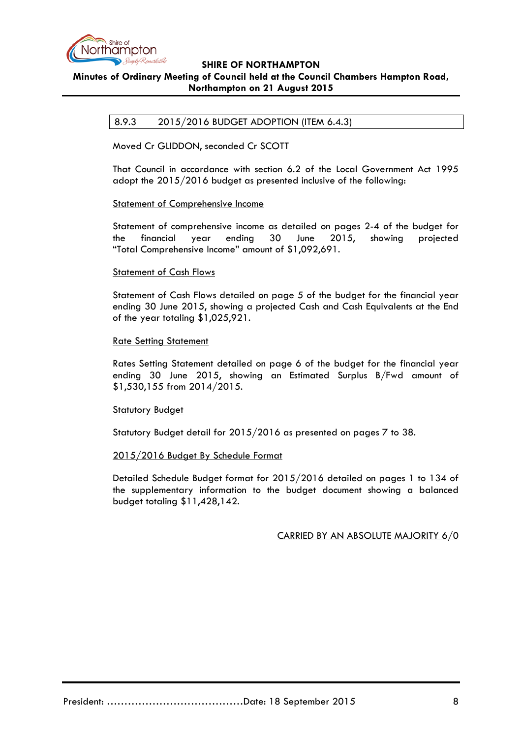

## <span id="page-7-0"></span>8.9.3 2015/2016 BUDGET ADOPTION (ITEM 6.4.3)

Moved Cr GLIDDON, seconded Cr SCOTT

That Council in accordance with section 6.2 of the Local Government Act 1995 adopt the 2015/2016 budget as presented inclusive of the following:

#### Statement of Comprehensive Income

Statement of comprehensive income as detailed on pages 2-4 of the budget for the financial year ending 30 June 2015, showing projected "Total Comprehensive Income" amount of \$1,092,691.

#### Statement of Cash Flows

Statement of Cash Flows detailed on page 5 of the budget for the financial year ending 30 June 2015, showing a projected Cash and Cash Equivalents at the End of the year totaling \$1,025,921.

#### Rate Setting Statement

Rates Setting Statement detailed on page 6 of the budget for the financial year ending 30 June 2015, showing an Estimated Surplus B/Fwd amount of \$1,530,155 from 2014/2015.

#### Statutory Budget

Statutory Budget detail for 2015/2016 as presented on pages 7 to 38.

#### 2015/2016 Budget By Schedule Format

Detailed Schedule Budget format for 2015/2016 detailed on pages 1 to 134 of the supplementary information to the budget document showing a balanced budget totaling \$11,428,142.

#### CARRIED BY AN ABSOLUTE MAJORITY 6/0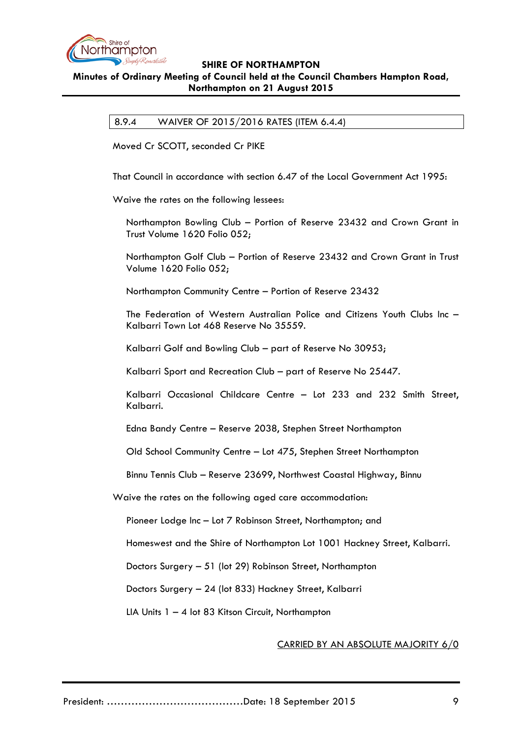

## <span id="page-8-0"></span>8.9.4 WAIVER OF 2015/2016 RATES (ITEM 6.4.4)

Moved Cr SCOTT, seconded Cr PIKE

That Council in accordance with section 6.47 of the Local Government Act 1995:

Waive the rates on the following lessees:

Northampton Bowling Club – Portion of Reserve 23432 and Crown Grant in Trust Volume 1620 Folio 052;

Northampton Golf Club – Portion of Reserve 23432 and Crown Grant in Trust Volume 1620 Folio 052;

Northampton Community Centre – Portion of Reserve 23432

The Federation of Western Australian Police and Citizens Youth Clubs Inc – Kalbarri Town Lot 468 Reserve No 35559.

Kalbarri Golf and Bowling Club – part of Reserve No 30953;

Kalbarri Sport and Recreation Club – part of Reserve No 25447.

Kalbarri Occasional Childcare Centre – Lot 233 and 232 Smith Street, Kalbarri.

Edna Bandy Centre – Reserve 2038, Stephen Street Northampton

Old School Community Centre – Lot 475, Stephen Street Northampton

Binnu Tennis Club – Reserve 23699, Northwest Coastal Highway, Binnu

Waive the rates on the following aged care accommodation:

Pioneer Lodge Inc – Lot 7 Robinson Street, Northampton; and

Homeswest and the Shire of Northampton Lot 1001 Hackney Street, Kalbarri.

Doctors Surgery – 51 (lot 29) Robinson Street, Northampton

Doctors Surgery – 24 (lot 833) Hackney Street, Kalbarri

LIA Units 1 – 4 lot 83 Kitson Circuit, Northampton

#### CARRIED BY AN ABSOLUTE MAJORITY 6/0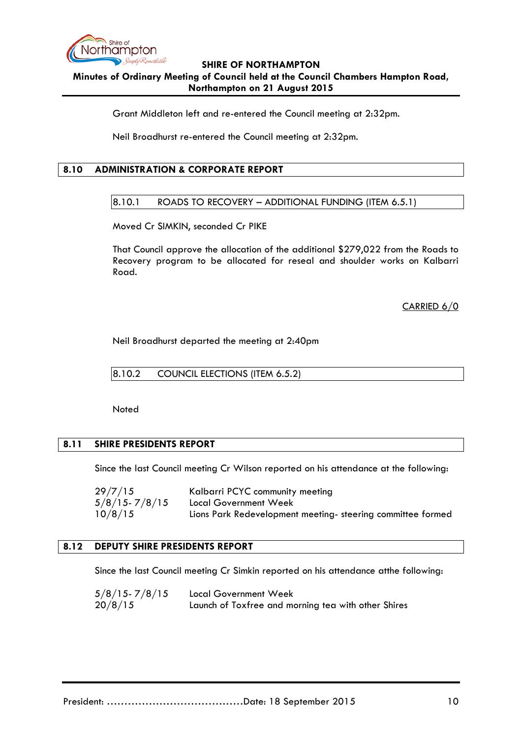

Grant Middleton left and re-entered the Council meeting at 2:32pm.

Neil Broadhurst re-entered the Council meeting at 2:32pm.

## <span id="page-9-1"></span><span id="page-9-0"></span>**8.10 ADMINISTRATION & CORPORATE REPORT**

### $|8.10.1$  ROADS TO RECOVERY – ADDITIONAL FUNDING (ITEM 6.5.1)

Moved Cr SIMKIN, seconded Cr PIKE

That Council approve the allocation of the additional \$279,022 from the Roads to Recovery program to be allocated for reseal and shoulder works on Kalbarri Road.

CARRIED 6/0

Neil Broadhurst departed the meeting at 2:40pm

<span id="page-9-2"></span>8.10.2 COUNCIL ELECTIONS (ITEM 6.5.2)

Noted

## <span id="page-9-3"></span>**8.11 SHIRE PRESIDENTS REPORT**

Since the last Council meeting Cr Wilson reported on his attendance at the following:

29/7/15 Kalbarri PCYC community meeting 5/8/15- 7/8/15 Local Government Week 10/8/15 Lions Park Redevelopment meeting- steering committee formed

## <span id="page-9-4"></span>**8.12 DEPUTY SHIRE PRESIDENTS REPORT**

Since the last Council meeting Cr Simkin reported on his attendance atthe following:

| $5/8/15 - 7/8/15$ | Local Government Week                               |
|-------------------|-----------------------------------------------------|
| 20/8/15           | Launch of Toxfree and morning tea with other Shires |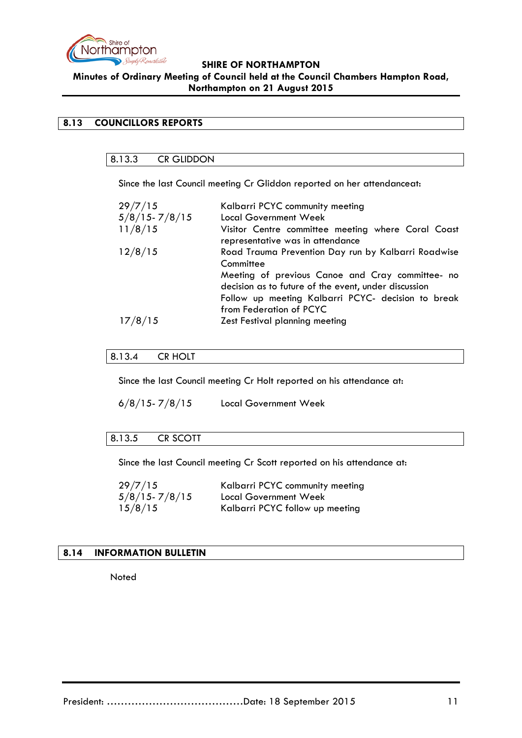

## <span id="page-10-1"></span><span id="page-10-0"></span>**8.13 COUNCILLORS REPORTS**

# 8.13.3 CR GLIDDON

Since the last Council meeting Cr Gliddon reported on her attendanceat:

| 29/7/15           | Kalbarri PCYC community meeting                                                                          |
|-------------------|----------------------------------------------------------------------------------------------------------|
| $5/8/15 - 7/8/15$ | <b>Local Government Week</b>                                                                             |
| 11/8/15           | Visitor Centre committee meeting where Coral Coast<br>representative was in attendance                   |
| 12/8/15           | Road Trauma Prevention Day run by Kalbarri Roadwise<br>Committee                                         |
|                   | Meeting of previous Canoe and Cray committee- no<br>decision as to future of the event, under discussion |
|                   | Follow up meeting Kalbarri PCYC- decision to break<br>from Federation of PCYC                            |
| 15                | Zest Festival planning meeting                                                                           |

### <span id="page-10-2"></span>8.13.4 CR HOLT

Since the last Council meeting Cr Holt reported on his attendance at:

 $6/8/15 - 7/8/15$  Local Government Week

## <span id="page-10-3"></span>8.13.5 CR SCOTT

Since the last Council meeting Cr Scott reported on his attendance at:

| 29/7/15           | Kalbarri PCYC community meeting |
|-------------------|---------------------------------|
| $5/8/15 - 7/8/15$ | Local Government Week           |
| 15/8/15           | Kalbarri PCYC follow up meeting |

# <span id="page-10-4"></span>**8.14 INFORMATION BULLETIN**

Noted